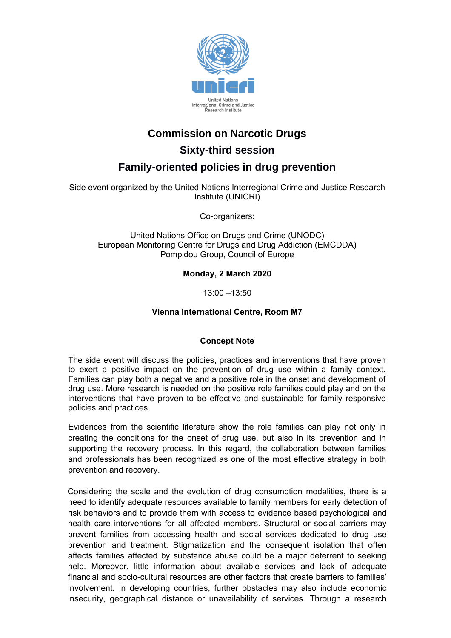

# **Commission on Narcotic Drugs**

**Sixty-third session**

# **Family-oriented policies in drug prevention**

Side event organized by the United Nations Interregional Crime and Justice Research Institute (UNICRI)

Co-organizers:

United Nations Office on Drugs and Crime (UNODC) European Monitoring Centre for Drugs and Drug Addiction (EMCDDA) Pompidou Group, Council of Europe

# **Monday, 2 March 2020**

13:00 –13:50

# **Vienna International Centre, Room M7**

#### **Concept Note**

The side event will discuss the policies, practices and interventions that have proven to exert a positive impact on the prevention of drug use within a family context. Families can play both a negative and a positive role in the onset and development of drug use. More research is needed on the positive role families could play and on the interventions that have proven to be effective and sustainable for family responsive policies and practices.

Evidences from the scientific literature show the role families can play not only in creating the conditions for the onset of drug use, but also in its prevention and in supporting the recovery process. In this regard, the collaboration between families and professionals has been recognized as one of the most effective strategy in both prevention and recovery.

Considering the scale and the evolution of drug consumption modalities, there is a need to identify adequate resources available to family members for early detection of risk behaviors and to provide them with access to evidence based psychological and health care interventions for all affected members. Structural or social barriers may prevent families from accessing health and social services dedicated to drug use prevention and treatment. Stigmatization and the consequent isolation that often affects families affected by substance abuse could be a major deterrent to seeking help. Moreover, little information about available services and lack of adequate financial and socio-cultural resources are other factors that create barriers to families' involvement. In developing countries, further obstacles may also include economic insecurity, geographical distance or unavailability of services. Through a research